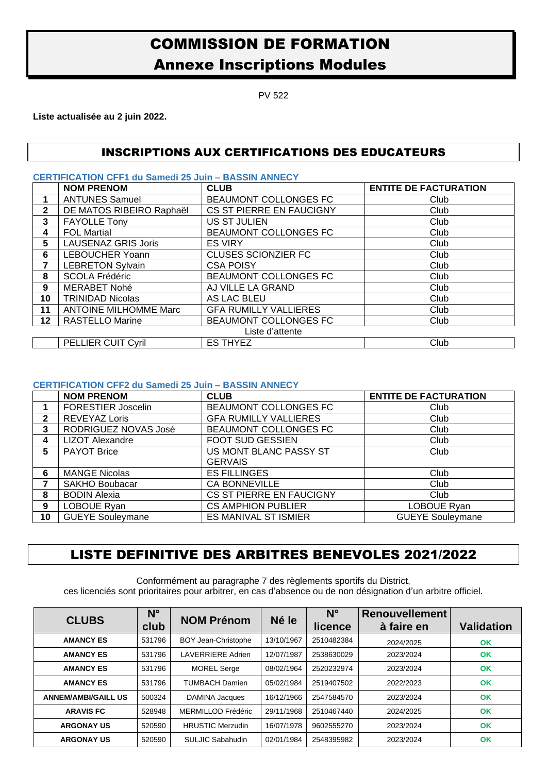## COMMISSION DE FORMATION Annexe Inscriptions Modules

PV 522

**Liste actualisée au 2 juin 2022.**

## INSCRIPTIONS AUX CERTIFICATIONS DES EDUCATEURS

**CERTIFICATION CFF1 du Samedi 25 Juin – BASSIN ANNECY**

|                 | <b>NOM PRENOM</b>            | <b>CLUB</b>                  | <b>ENTITE DE FACTURATION</b> |  |  |
|-----------------|------------------------------|------------------------------|------------------------------|--|--|
|                 | <b>ANTUNES Samuel</b>        | BEAUMONT COLLONGES FC        | Club                         |  |  |
| 2               | DE MATOS RIBEIRO Raphaël     | CS ST PIERRE EN FAUCIGNY     | Club                         |  |  |
| 3               | <b>FAYOLLE Tony</b>          | US ST JULIEN                 | Club                         |  |  |
| 4               | <b>FOL Martial</b>           | BEAUMONT COLLONGES FC        | Club                         |  |  |
| 5               | <b>LAUSENAZ GRIS Joris</b>   | <b>ES VIRY</b>               | Club                         |  |  |
| 6               | <b>LEBOUCHER Yoann</b>       | <b>CLUSES SCIONZIER FC</b>   | Club                         |  |  |
| 7               | <b>LEBRETON Sylvain</b>      | <b>CSA POISY</b>             | Club                         |  |  |
| 8               | <b>SCOLA Frédéric</b>        | BEAUMONT COLLONGES FC        | Club                         |  |  |
| 9               | <b>MERABET Nohé</b>          | AJ VILLE LA GRAND            | Club                         |  |  |
| 10              | <b>TRINIDAD Nicolas</b>      | AS LAC BLEU                  | Club                         |  |  |
| 11              | <b>ANTOINE MILHOMME Marc</b> | <b>GFA RUMILLY VALLIERES</b> | Club                         |  |  |
| 12              | <b>RASTELLO Marine</b>       | BEAUMONT COLLONGES FC        | Club                         |  |  |
| Liste d'attente |                              |                              |                              |  |  |
|                 | <b>PELLIER CUIT Cyril</b>    | <b>ES THYEZ</b>              | Club                         |  |  |

## **CERTIFICATION CFF2 du Samedi 25 Juin – BASSIN ANNECY**

|              | <b>NOM PRENOM</b>         | <b>CLUB</b>                  | <b>ENTITE DE FACTURATION</b> |  |
|--------------|---------------------------|------------------------------|------------------------------|--|
|              | <b>FORESTIER Joscelin</b> | BEAUMONT COLLONGES FC        | Club                         |  |
| $\mathbf{2}$ | <b>REVEYAZ Loris</b>      | <b>GFA RUMILLY VALLIERES</b> | Club                         |  |
| 3            | RODRIGUEZ NOVAS José      | BEAUMONT COLLONGES FC        | Club                         |  |
| 4            | <b>LIZOT Alexandre</b>    | <b>FOOT SUD GESSIEN</b>      | Club                         |  |
| 5            | <b>PAYOT Brice</b>        | US MONT BLANC PASSY ST       | Club                         |  |
|              |                           | <b>GERVAIS</b>               |                              |  |
| 6            | <b>MANGE Nicolas</b>      | <b>ES FILLINGES</b>          | Club                         |  |
|              | <b>SAKHO Boubacar</b>     | <b>CA BONNEVILLE</b>         | Club                         |  |
| 8            | <b>BODIN Alexia</b>       | CS ST PIERRE EN FAUCIGNY     | Club                         |  |
| 9            | LOBOUE Ryan               | <b>CS AMPHION PUBLIER</b>    | LOBOUE Ryan                  |  |
| 10           | <b>GUEYE Souleymane</b>   | <b>ES MANIVAL ST ISMIER</b>  | <b>GUEYE Souleymane</b>      |  |

## LISTE DEFINITIVE DES ARBITRES BENEVOLES 2021/2022

Conformément au paragraphe 7 des règlements sportifs du District, ces licenciés sont prioritaires pour arbitrer, en cas d'absence ou de non désignation d'un arbitre officiel.

| <b>CLUBS</b>               | $N^{\circ}$<br>club | <b>NOM Prénom</b>       | Né le      | $N^{\circ}$<br>licence | <b>Renouvellement</b><br>à faire en | <b>Validation</b> |
|----------------------------|---------------------|-------------------------|------------|------------------------|-------------------------------------|-------------------|
| <b>AMANCY ES</b>           | 531796              | BOY Jean-Christophe     | 13/10/1967 | 2510482384             | 2024/2025                           | OK                |
| <b>AMANCY ES</b>           | 531796              | LAVERRIERE Adrien       | 12/07/1987 | 2538630029             | 2023/2024                           | OK                |
| <b>AMANCY ES</b>           | 531796              | <b>MOREL Serge</b>      | 08/02/1964 | 2520232974             | 2023/2024                           | OK                |
| <b>AMANCY ES</b>           | 531796              | <b>TUMBACH Damien</b>   | 05/02/1984 | 2519407502             | 2022/2023                           | <b>OK</b>         |
| <b>ANNEM/AMBI/GAILL US</b> | 500324              | DAMINA Jacques          | 16/12/1966 | 2547584570             | 2023/2024                           | <b>OK</b>         |
| <b>ARAVIS FC</b>           | 528948              | MERMILLOD Frédéric      | 29/11/1968 | 2510467440             | 2024/2025                           | OK                |
| <b>ARGONAY US</b>          | 520590              | <b>HRUSTIC Merzudin</b> | 16/07/1978 | 9602555270             | 2023/2024                           | OK                |
| <b>ARGONAY US</b>          | 520590              | SULJIC Sabahudin        | 02/01/1984 | 2548395982             | 2023/2024                           | OK                |